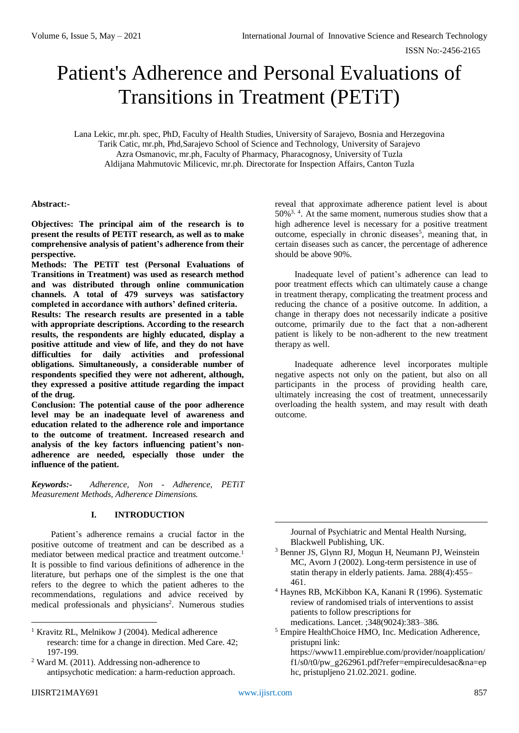## ISSN No:-2456-2165

# Patient's Adherence and Personal Evaluations of Transitions in Treatment (PETiT)

Lana Lekic, mr.ph. spec, PhD, Faculty of Health Studies, University of Sarajevo, Bosnia and Herzegovina Tarik Catic, mr.ph, Phd,Sarajevo School of Science and Technology, University of Sarajevo Azra Osmanovic, mr.ph, Faculty of Pharmacy, Pharacognosy, University of Tuzla Aldijana Mahmutovic Milicevic, mr.ph. Directorate for Inspection Affairs, Canton Tuzla

# **Abstract:-**

**Objectives: The principal aim of the research is to present the results of PETiT research, as well as to make comprehensive analysis of patient's adherence from their perspective.** 

**Methods: The PETiT test (Personal Evaluations of Transitions in Treatment) was used as research method and was distributed through online communication channels. A total of 479 surveys was satisfactory completed in accordance with authors' defined criteria.**

**Results: The research results are presented in a table with appropriate descriptions. According to the research results, the respondents are highly educated, display a positive attitude and view of life, and they do not have difficulties for daily activities and professional obligations. Simultaneously, a considerable number of respondents specified they were not adherent, although, they expressed a positive attitude regarding the impact of the drug.**

**Conclusion: The potential cause of the poor adherence level may be an inadequate level of awareness and education related to the adherence role and importance to the outcome of treatment. Increased research and analysis of the key factors influencing patient's nonadherence are needed, especially those under the influence of the patient.**

*Keywords:- Adherence, Non - Adherence, PETiT Measurement Methods, Adherence Dimensions.*

## **I. INTRODUCTION**

Patient's adherence remains a crucial factor in the positive outcome of treatment and can be described as a mediator between medical practice and treatment outcome.<sup>1</sup> It is possible to find various definitions of adherence in the literature, but perhaps one of the simplest is the one that refers to the degree to which the patient adheres to the recommendations, regulations and advice received by medical professionals and physicians<sup>2</sup>. Numerous studies

1

reveal that approximate adherence patient level is about  $50\%$ <sup>3, 4</sup>. At the same moment, numerous studies show that a high adherence level is necessary for a positive treatment outcome, especially in chronic diseases<sup>5</sup>, meaning that, in certain diseases such as cancer, the percentage of adherence should be above 90%.

Inadequate level of patient's adherence can lead to poor treatment effects which can ultimately cause a change in treatment therapy, complicating the treatment process and reducing the chance of a positive outcome. In addition, a change in therapy does not necessarily indicate a positive outcome, primarily due to the fact that a non-adherent patient is likely to be non-adherent to the new treatment therapy as well.

Inadequate adherence level incorporates multiple negative aspects not only on the patient, but also on all participants in the process of providing health care, ultimately increasing the cost of treatment, unnecessarily overloading the health system, and may result with death outcome.

Journal of Psychiatric and Mental Health Nursing, Blackwell Publishing, UK.

- <sup>3</sup> Benner JS, Glynn RJ, Mogun H, Neumann PJ, Weinstein MC, Avorn J (2002). Long-term persistence in use of statin therapy in elderly patients. Jama. 288(4):455– 461.
- <sup>4</sup> Haynes RB, McKibbon KA, Kanani R (1996). Systematic review of randomised trials of interventions to assist patients to follow prescriptions for medications. Lancet. ;348(9024):383–386.
- <sup>5</sup> Empire HealthChoice HMO, Inc. Medication Adherence, pristupni link: https://www11.empireblue.com/provider/noapplication/

 $f1/s0/t0/pw$  g262961.pdf?refer=empireculdesac&na=ep hc, pristupljeno 21.02.2021. godine.

<u>.</u>

<sup>&</sup>lt;sup>1</sup> Kravitz RL, Melnikow J (2004). Medical adherence research: time for a change in direction. Med Care. 42; 197-199.

<sup>2</sup> Ward M. (2011). Addressing non-adherence to antipsychotic medication: a harm-reduction approach.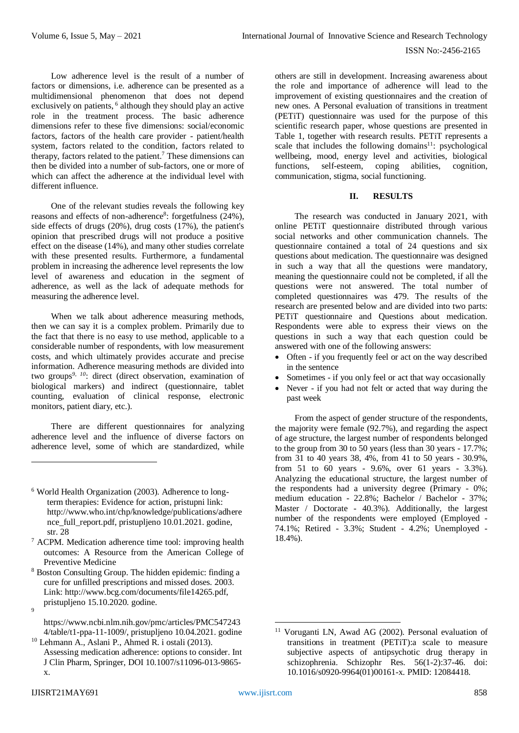Low adherence level is the result of a number of factors or dimensions, i.e. adherence can be presented as a multidimensional phenomenon that does not depend exclusively on patients,<sup>6</sup> although they should play an active role in the treatment process. The basic adherence dimensions refer to these five dimensions: social/economic factors, factors of the health care provider - patient/health system, factors related to the condition, factors related to therapy, factors related to the patient. <sup>7</sup> These dimensions can then be divided into a number of sub-factors, one or more of which can affect the adherence at the individual level with different influence.

One of the relevant studies reveals the following key reasons and effects of non-adherence<sup>8</sup>: forgetfulness (24%), side effects of drugs (20%), drug costs (17%), the patient's opinion that prescribed drugs will not produce a positive effect on the disease (14%), and many other studies correlate with these presented results. Furthermore, a fundamental problem in increasing the adherence level represents the low level of awareness and education in the segment of adherence, as well as the lack of adequate methods for measuring the adherence level.

When we talk about adherence measuring methods, then we can say it is a complex problem. Primarily due to the fact that there is no easy to use method, applicable to a considerable number of respondents, with low measurement costs, and which ultimately provides accurate and precise information. Adherence measuring methods are divided into two groups*9, 10*: direct (direct observation, examination of biological markers) and indirect (questionnaire, tablet counting, evaluation of clinical response, electronic monitors, patient diary, etc.).

There are different questionnaires for analyzing adherence level and the influence of diverse factors on adherence level, some of which are standardized, while

<sup>7</sup> ACPM. Medication adherence time tool: improving health outcomes: A Resource from the American College of Preventive Medicine

- <sup>8</sup> Boston Consulting Group. The hidden epidemic: finding a cure for unfilled prescriptions and missed doses. 2003. Link: http://www.bcg.com/documents/file14265.pdf, pristupljeno 15.10.2020. godine.
- $\alpha$

<u>.</u>

[https://www.ncbi.nlm.nih.gov/pmc/articles/PMC547243](https://www.ncbi.nlm.nih.gov/pmc/articles/PMC5472434/table/t1-ppa-11-1009/) [4/table/t1-ppa-11-1009/,](https://www.ncbi.nlm.nih.gov/pmc/articles/PMC5472434/table/t1-ppa-11-1009/) pristupljeno 10.04.2021. godine

<sup>10</sup> Lehmann A., Aslani P., Ahmed R. i ostali (2013). Assessing medication adherence: options to consider. Int J Clin Pharm, Springer, DOI 10.1007/s11096-013-9865 x.

others are still in development. Increasing awareness about the role and importance of adherence will lead to the improvement of existing questionnaires and the creation of new ones. A Personal evaluation of transitions in treatment (PETiT) questionnaire was used for the purpose of this scientific research paper, whose questions are presented in Table 1, together with research results. PETiT represents a scale that includes the following domains<sup>11</sup>: psychological wellbeing, mood, energy level and activities, biological functions, self-esteem, coping abilities, cognition, communication, stigma, social functioning.

# **II. RESULTS**

The research was conducted in January 2021, with online PETiT questionnaire distributed through various social networks and other communication channels. The questionnaire contained a total of 24 questions and six questions about medication. The questionnaire was designed in such a way that all the questions were mandatory, meaning the questionnaire could not be completed, if all the questions were not answered. The total number of completed questionnaires was 479. The results of the research are presented below and are divided into two parts: PETiT questionnaire and Questions about medication. Respondents were able to express their views on the questions in such a way that each question could be answered with one of the following answers:

- Often if you frequently feel or act on the way described in the sentence
- Sometimes if you only feel or act that way occasionally
- Never if you had not felt or acted that way during the past week

From the aspect of gender structure of the respondents, the majority were female (92.7%), and regarding the aspect of age structure, the largest number of respondents belonged to the group from 30 to 50 years (less than 30 years - 17.7%; from 31 to 40 years 38, 4%, from 41 to 50 years - 30.9%, from 51 to 60 years - 9.6%, over 61 years - 3.3%). Analyzing the educational structure, the largest number of the respondents had a university degree (Primary - 0%; medium education - 22.8%; Bachelor / Bachelor - 37%; Master / Doctorate - 40.3%). Additionally, the largest number of the respondents were employed (Employed - 74.1%; Retired - 3.3%; Student - 4.2%; Unemployed - 18.4%).

1

<sup>6</sup> World Health Organization (2003). Adherence to longterm therapies: Evidence for action, pristupni link: http://www.who.int/chp/knowledge/publications/adhere nce full report.pdf, pristupljeno 10.01.2021. godine, str. 28

<sup>&</sup>lt;sup>11</sup> Voruganti LN, Awad AG (2002). Personal evaluation of transitions in treatment (PETiT):a scale to measure subjective aspects of antipsychotic drug therapy in schizophrenia. Schizophr Res. 56(1-2):37-46. doi: 10.1016/s0920-9964(01)00161-x. PMID: 12084418.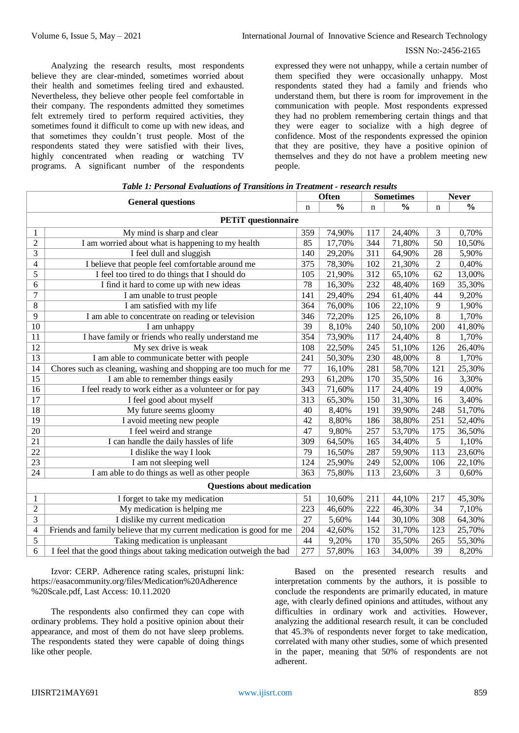#### ISSN No:-2456-2165

Analyzing the research results, most respondents believe they are clear-minded, sometimes worried about their health and sometimes feeling tired and exhausted. Nevertheless, they believe other people feel comfortable in their company. The respondents admitted they sometimes felt extremely tired to perform required activities, they sometimes found it difficult to come up with new ideas, and that sometimes they couldn't trust people. Most of the respondents stated they were satisfied with their lives, highly concentrated when reading or watching TV programs. A significant number of the respondents

expressed they were not unhappy, while a certain number of them specified they were occasionally unhappy. Most respondents stated they had a family and friends who understand them, but there is room for improvement in the communication with people. Most respondents expressed they had no problem remembering certain things and that they were eager to socialize with a high degree of confidence. Most of the respondents expressed the opinion that they are positive, they have a positive opinion of themselves and they do not have a problem meeting new people.

| <b>General questions</b>          |                                                                      | Often |               | <b>Sometimes</b> |               | <b>Never</b>   |               |  |
|-----------------------------------|----------------------------------------------------------------------|-------|---------------|------------------|---------------|----------------|---------------|--|
|                                   |                                                                      | n     | $\frac{0}{0}$ | $\mathbf n$      | $\frac{0}{0}$ | n              | $\frac{0}{0}$ |  |
| <b>PETiT</b> questionnaire        |                                                                      |       |               |                  |               |                |               |  |
| 1                                 | My mind is sharp and clear                                           | 359   | 74,90%        | 117              | 24,40%        | 3              | 0,70%         |  |
| $\overline{2}$                    | I am worried about what is happening to my health                    | 85    | 17,70%        | 344              | 71,80%        | 50             | 10,50%        |  |
| 3                                 | I feel dull and sluggish                                             | 140   | 29,20%        | 311              | 64,90%        | 28             | 5,90%         |  |
| 4                                 | I believe that people feel comfortable around me                     | 375   | 78,30%        | 102              | 21,30%        | $\overline{2}$ | 0,40%         |  |
| 5                                 | I feel too tired to do things that I should do                       | 105   | 21,90%        | 312              | 65,10%        | 62             | 13,00%        |  |
| 6                                 | I find it hard to come up with new ideas                             | 78    | 16,30%        | 232              | 48,40%        | 169            | 35,30%        |  |
| 7                                 | I am unable to trust people                                          | 141   | 29,40%        | 294              | 61,40%        | 44             | 9,20%         |  |
| $8\,$                             | I am satisfied with my life                                          | 364   | 76,00%        | 106              | 22,10%        | 9              | 1,90%         |  |
| 9                                 | I am able to concentrate on reading or television                    | 346   | 72,20%        | 125              | 26,10%        | 8              | 1,70%         |  |
| 10                                | I am unhappy                                                         | 39    | 8,10%         | 240              | 50,10%        | 200            | 41,80%        |  |
| 11                                | I have family or friends who really understand me                    | 354   | 73,90%        | 117              | 24,40%        | 8              | 1,70%         |  |
| 12                                | My sex drive is weak                                                 | 108   | 22,50%        | 245              | 51,10%        | 126            | 26,40%        |  |
| 13                                | I am able to communicate better with people                          | 241   | 50,30%        | 230              | 48,00%        | 8              | 1,70%         |  |
| 14                                | Chores such as cleaning, washing and shopping are too much for me    | 77    | 16,10%        | 281              | 58,70%        | 121            | 25,30%        |  |
| 15                                | I am able to remember things easily                                  | 293   | 61,20%        | 170              | 35,50%        | 16             | 3,30%         |  |
| 16                                | I feel ready to work either as a volunteer or for pay                | 343   | 71,60%        | 117              | 24,40%        | 19             | 4,00%         |  |
| 17                                | I feel good about myself                                             | 313   | 65,30%        | 150              | 31,30%        | 16             | 3,40%         |  |
| 18                                | My future seems gloomy                                               | 40    | 8,40%         | 191              | 39,90%        | 248            | 51,70%        |  |
| 19                                | I avoid meeting new people                                           | 42    | 8,80%         | 186              | 38,80%        | 251            | 52,40%        |  |
| 20                                | I feel weird and strange                                             | 47    | 9,80%         | 257              | 53,70%        | 175            | 36,50%        |  |
| 21                                | I can handle the daily hassles of life                               | 309   | 64,50%        | 165              | 34,40%        | 5              | 1,10%         |  |
| 22                                | I dislike the way I look                                             | 79    | 16,50%        | 287              | 59,90%        | 113            | 23,60%        |  |
| 23                                | I am not sleeping well                                               | 124   | 25,90%        | 249              | 52,00%        | 106            | 22,10%        |  |
| 24                                | I am able to do things as well as other people                       | 363   | 75,80%        | 113              | 23,60%        | 3              | 0,60%         |  |
| <b>Questions about medication</b> |                                                                      |       |               |                  |               |                |               |  |
| 1                                 | I forget to take my medication                                       | 51    | 10,60%        | 211              | 44,10%        | 217            | 45,30%        |  |
| $\overline{c}$                    | My medication is helping me                                          | 223   | 46,60%        | 222              | 46,30%        | 34             | 7,10%         |  |
| 3                                 | I dislike my current medication                                      | 27    | 5,60%         | 144              | 30,10%        | 308            | 64,30%        |  |
| $\overline{\mathcal{L}}$          | Friends and family believe that my current medication is good for me | 204   | 42,60%        | 152              | 31,70%        | 123            | 25,70%        |  |
| 5                                 | Taking medication is unpleasant                                      | 44    | 9,20%         | 170              | 35,50%        | 265            | 55,30%        |  |
| 6                                 | I feel that the good things about taking medication outweigh the bad | 277   | 57,80%        | 163              | 34,00%        | 39             | 8,20%         |  |

| Table 1: Personal Evaluations of Transitions in Treatment - research results |  |
|------------------------------------------------------------------------------|--|
|------------------------------------------------------------------------------|--|

Izvor: CERP. Adherence rating scales, pristupni link: [https://easacommunity.org/files/Medication%20Adherence](https://easacommunity.org/files/Medication%20Adherence%20Scale.pdf) [%20Scale.pdf,](https://easacommunity.org/files/Medication%20Adherence%20Scale.pdf) Last Access: 10.11.2020

The respondents also confirmed they can cope with ordinary problems. They hold a positive opinion about their appearance, and most of them do not have sleep problems. The respondents stated they were capable of doing things like other people.

Based on the presented research results and interpretation comments by the authors, it is possible to conclude the respondents are primarily educated, in mature age, with clearly defined opinions and attitudes, without any difficulties in ordinary work and activities. However, analyzing the additional research result, it can be concluded that 45.3% of respondents never forget to take medication, correlated with many other studies, some of which presented in the paper, meaning that 50% of respondents are not adherent.